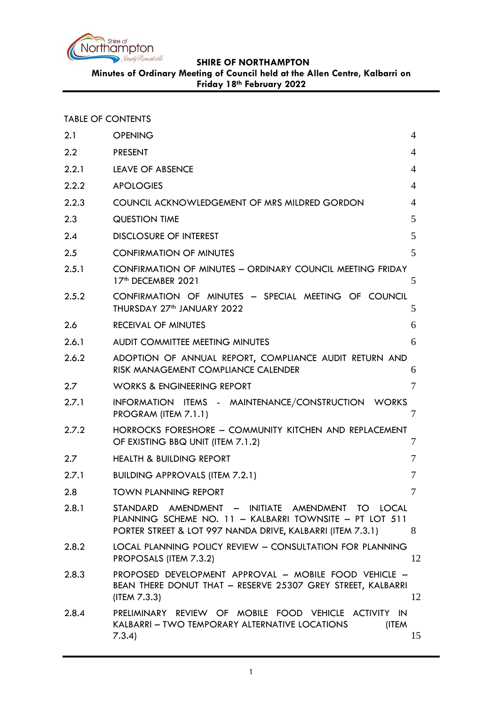

**Friday 18th February 2022**

TABLE OF CONTENTS

| 2.1   | <b>OPENING</b>                                                                                                                                                            | 4              |
|-------|---------------------------------------------------------------------------------------------------------------------------------------------------------------------------|----------------|
| 2.2   | <b>PRESENT</b>                                                                                                                                                            | 4              |
| 2.2.1 | <b>LEAVE OF ABSENCE</b>                                                                                                                                                   | $\overline{4}$ |
| 2.2.2 | <b>APOLOGIES</b>                                                                                                                                                          | 4              |
| 2.2.3 | COUNCIL ACKNOWLEDGEMENT OF MRS MILDRED GORDON                                                                                                                             | $\overline{4}$ |
| 2.3   | <b>QUESTION TIME</b>                                                                                                                                                      | 5              |
| 2.4   | <b>DISCLOSURE OF INTEREST</b>                                                                                                                                             | 5              |
| 2.5   | <b>CONFIRMATION OF MINUTES</b>                                                                                                                                            | 5              |
| 2.5.1 | CONFIRMATION OF MINUTES - ORDINARY COUNCIL MEETING FRIDAY<br>17th DECEMBER 2021                                                                                           | 5              |
| 2.5.2 | CONFIRMATION OF MINUTES - SPECIAL MEETING OF COUNCIL<br>THURSDAY 27 <sup>th</sup> JANUARY 2022                                                                            | 5              |
| 2.6   | <b>RECEIVAL OF MINUTES</b>                                                                                                                                                | 6              |
| 2.6.1 | AUDIT COMMITTEE MEETING MINUTES                                                                                                                                           | 6              |
| 2.6.2 | ADOPTION OF ANNUAL REPORT, COMPLIANCE AUDIT RETURN AND<br>RISK MANAGEMENT COMPLIANCE CALENDER                                                                             | 6              |
| 2.7   | <b>WORKS &amp; ENGINEERING REPORT</b>                                                                                                                                     | 7              |
| 2.7.1 | INFORMATION ITEMS - MAINTENANCE/CONSTRUCTION WORKS<br>PROGRAM (ITEM 7.1.1)                                                                                                | 7              |
| 2.7.2 | HORROCKS FORESHORE - COMMUNITY KITCHEN AND REPLACEMENT<br>OF EXISTING BBQ UNIT (ITEM 7.1.2)                                                                               | 7              |
| 2.7   | <b>HEALTH &amp; BUILDING REPORT</b>                                                                                                                                       | 7              |
| 2.7.1 | <b>BUILDING APPROVALS (ITEM 7.2.1)</b>                                                                                                                                    | 7              |
| 2.8   | <b>TOWN PLANNING REPORT</b>                                                                                                                                               | 7              |
| 2.8.1 | STANDARD AMENDMENT - INITIATE AMENDMENT TO LOCAL<br>PLANNING SCHEME NO. 11 - KALBARRI TOWNSITE - PT LOT 511<br>PORTER STREET & LOT 997 NANDA DRIVE, KALBARRI (ITEM 7.3.1) | 8              |
| 2.8.2 | LOCAL PLANNING POLICY REVIEW - CONSULTATION FOR PLANNING<br>PROPOSALS (ITEM 7.3.2)                                                                                        | 12             |
| 2.8.3 | PROPOSED DEVELOPMENT APPROVAL - MOBILE FOOD VEHICLE -<br>BEAN THERE DONUT THAT - RESERVE 25307 GREY STREET, KALBARRI<br>(IFEM 7.3.3)                                      | 12             |
| 2.8.4 | PRELIMINARY REVIEW OF MOBILE FOOD VEHICLE ACTIVITY IN<br>KALBARRI - TWO TEMPORARY ALTERNATIVE LOCATIONS<br>(ITEM<br>7.3.4)                                                | 15             |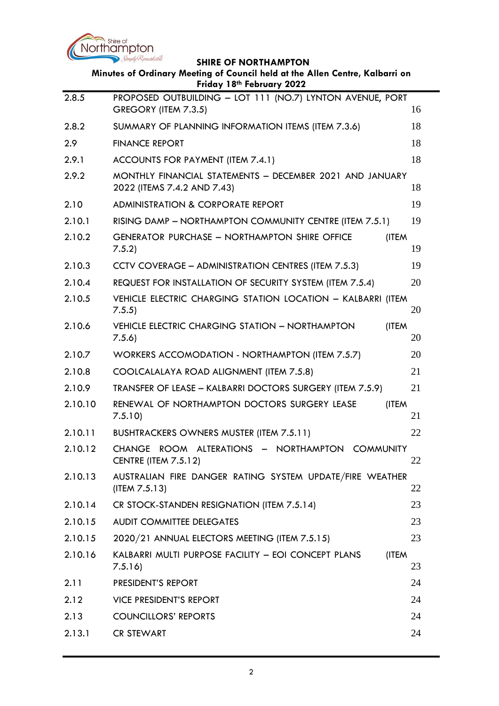

|         | Simply Remarkable<br><b>SHIRE OF NORTHAMPTON</b>                                                          |             |
|---------|-----------------------------------------------------------------------------------------------------------|-------------|
|         | Minutes of Ordinary Meeting of Council held at the Allen Centre, Kalbarri on<br>Friday 18th February 2022 |             |
| 2.8.5   | PROPOSED OUTBUILDING - LOT 111 (NO.7) LYNTON AVENUE, PORT<br>GREGORY (ITEM 7.3.5)                         | 16          |
| 2.8.2   | SUMMARY OF PLANNING INFORMATION ITEMS (ITEM 7.3.6)                                                        | 18          |
| 2.9     | <b>FINANCE REPORT</b>                                                                                     | 18          |
| 2.9.1   | ACCOUNTS FOR PAYMENT (ITEM 7.4.1)                                                                         | 18          |
| 2.9.2   | MONTHLY FINANCIAL STATEMENTS - DECEMBER 2021 AND JANUARY<br>2022 (ITEMS 7.4.2 AND 7.43)                   | 18          |
| 2.10    | <b>ADMINISTRATION &amp; CORPORATE REPORT</b>                                                              | 19          |
| 2.10.1  | RISING DAMP - NORTHAMPTON COMMUNITY CENTRE (ITEM 7.5.1)                                                   | 19          |
| 2.10.2  | <b>GENERATOR PURCHASE - NORTHAMPTON SHIRE OFFICE</b><br>7.5.2                                             | (ITEM<br>19 |
| 2.10.3  | CCTV COVERAGE - ADMINISTRATION CENTRES (ITEM 7.5.3)                                                       | 19          |
| 2.10.4  | REQUEST FOR INSTALLATION OF SECURITY SYSTEM (ITEM 7.5.4)                                                  | 20          |
| 2.10.5  | VEHICLE ELECTRIC CHARGING STATION LOCATION - KALBARRI (ITEM<br>7.5.5)                                     | 20          |
| 2.10.6  | VEHICLE ELECTRIC CHARGING STATION - NORTHAMPTON<br>7.5.6                                                  | (ITEM<br>20 |
| 2.10.7  | WORKERS ACCOMODATION - NORTHAMPTON (ITEM 7.5.7)                                                           | 20          |
| 2.10.8  | COOLCALALAYA ROAD ALIGNMENT (ITEM 7.5.8)                                                                  | 21          |
| 2.10.9  | TRANSFER OF LEASE - KALBARRI DOCTORS SURGERY (ITEM 7.5.9)                                                 | 21          |
| 2.10.10 | RENEWAL OF NORTHAMPTON DOCTORS SURGERY LEASE<br>7.5.10                                                    | (ITEM<br>21 |
| 2.10.11 | BUSHTRACKERS OWNERS MUSTER (ITEM 7.5.11)                                                                  | 22          |
| 2.10.12 | CHANGE ROOM ALTERATIONS - NORTHAMPTON COMMUNITY<br><b>CENTRE (ITEM 7.5.12)</b>                            | 22          |
| 2.10.13 | AUSTRALIAN FIRE DANGER RATING SYSTEM UPDATE/FIRE WEATHER<br>(ITEM 7.5.13)                                 | 22          |
| 2.10.14 | CR STOCK-STANDEN RESIGNATION (ITEM 7.5.14)                                                                | 23          |
| 2.10.15 | <b>AUDIT COMMITTEE DELEGATES</b>                                                                          | 23          |
| 2.10.15 | 2020/21 ANNUAL ELECTORS MEETING (ITEM 7.5.15)                                                             | 23          |
| 2.10.16 | KALBARRI MULTI PURPOSE FACILITY - EOI CONCEPT PLANS<br>7.5.16                                             | (ITEM<br>23 |
| 2.11    | PRESIDENT'S REPORT                                                                                        | 24          |
| 2.12    | <b>VICE PRESIDENT'S REPORT</b>                                                                            | 24          |
| 2.13    | <b>COUNCILLORS' REPORTS</b>                                                                               | 24          |
| 2.13.1  | <b>CR STEWART</b>                                                                                         | 24          |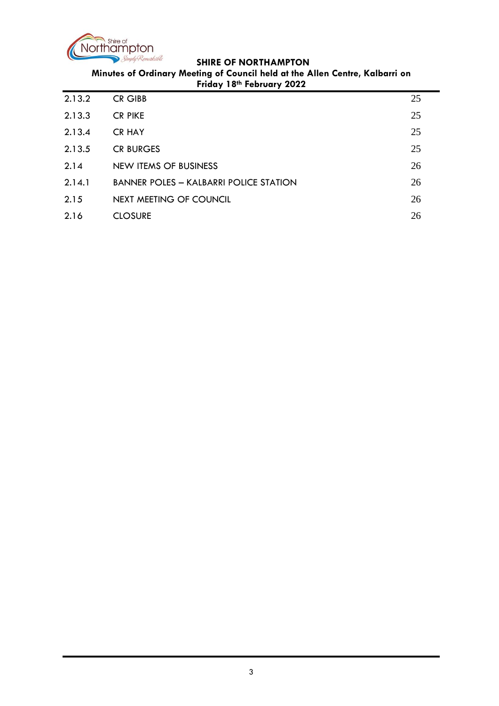

**Minutes of Ordinary Meeting of Council held at the Allen Centre, Kalbarri on Friday 18th February 2022**

| 2.13.2 | <b>CR GIBB</b>                                | 25 |
|--------|-----------------------------------------------|----|
| 2.13.3 | <b>CR PIKE</b>                                | 25 |
| 2.13.4 | <b>CR HAY</b>                                 | 25 |
| 2.13.5 | <b>CR BURGES</b>                              | 25 |
| 2.14   | NEW ITEMS OF BUSINESS                         | 26 |
| 2.14.1 | <b>BANNER POLES - KALBARRI POLICE STATION</b> | 26 |
| 2.15   | NEXT MEETING OF COUNCIL                       | 26 |
| 2.16   | <b>CLOSURE</b>                                | 26 |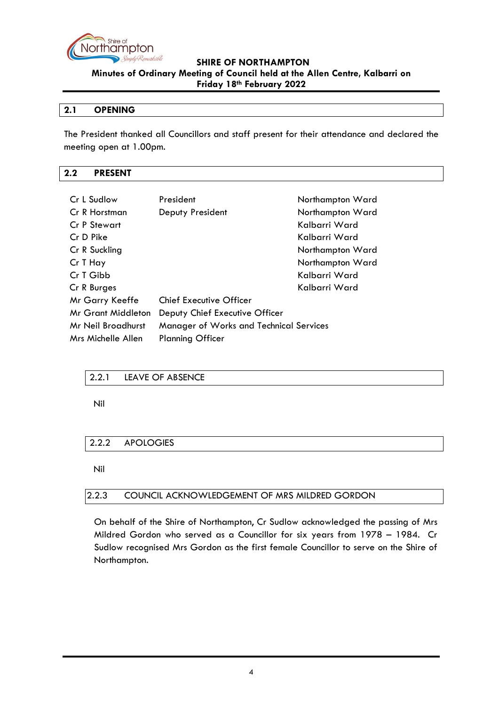

#### <span id="page-3-0"></span>**2.1 OPENING**

The President thanked all Councillors and staff present for their attendance and declared the meeting open at 1.00pm.

#### <span id="page-3-1"></span>**2.2 PRESENT**

| Cr L Sudlow        | President                                      | Northampton Ward |
|--------------------|------------------------------------------------|------------------|
| Cr R Horstman      | Deputy President                               | Northampton Ward |
| Cr P Stewart       |                                                | Kalbarri Ward    |
| Cr D Pike          |                                                | Kalbarri Ward    |
| Cr R Suckling      |                                                | Northampton Ward |
| Cr T Hay           |                                                | Northampton Ward |
| Cr T Gibb          |                                                | Kalbarri Ward    |
| Cr R Burges        |                                                | Kalbarri Ward    |
| Mr Garry Keeffe    | <b>Chief Executive Officer</b>                 |                  |
| Mr Grant Middleton | Deputy Chief Executive Officer                 |                  |
| Mr Neil Broadhurst | <b>Manager of Works and Technical Services</b> |                  |
| Mrs Michelle Allen | <b>Planning Officer</b>                        |                  |
|                    |                                                |                  |

#### <span id="page-3-2"></span>2.2.1 LEAVE OF ABSENCE

Nil

# <span id="page-3-3"></span>2.2.2 APOLOGIES

Nil

#### <span id="page-3-4"></span>2.2.3 COUNCIL ACKNOWLEDGEMENT OF MRS MILDRED GORDON

On behalf of the Shire of Northampton, Cr Sudlow acknowledged the passing of Mrs Mildred Gordon who served as a Councillor for six years from 1978 – 1984. Cr Sudlow recognised Mrs Gordon as the first female Councillor to serve on the Shire of Northampton.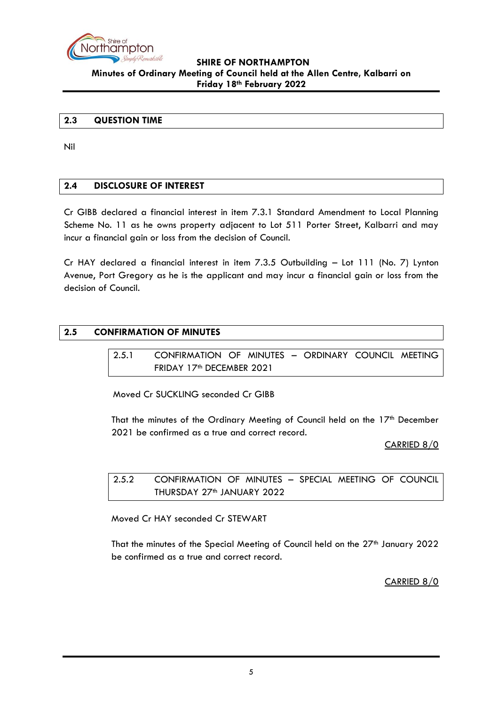

#### <span id="page-4-0"></span>**2.3 QUESTION TIME**

Nil

#### <span id="page-4-1"></span>**2.4 DISCLOSURE OF INTEREST**

Cr GIBB declared a financial interest in item 7.3.1 Standard Amendment to Local Planning Scheme No. 11 as he owns property adjacent to Lot 511 Porter Street, Kalbarri and may incur a financial gain or loss from the decision of Council.

Cr HAY declared a financial interest in item 7.3.5 Outbuilding – Lot 111 (No. 7) Lynton Avenue, Port Gregory as he is the applicant and may incur a financial gain or loss from the decision of Council.

#### <span id="page-4-3"></span><span id="page-4-2"></span>**2.5 CONFIRMATION OF MINUTES**

2.5.1 CONFIRMATION OF MINUTES – ORDINARY COUNCIL MEETING FRIDAY 17<sup>th</sup> DECEMBER 2021

Moved Cr SUCKLING seconded Cr GIBB

That the minutes of the Ordinary Meeting of Council held on the 17<sup>th</sup> December 2021 be confirmed as a true and correct record.

CARRIED 8/0

<span id="page-4-4"></span>2.5.2 CONFIRMATION OF MINUTES – SPECIAL MEETING OF COUNCIL THURSDAY 27<sup>th</sup> JANUARY 2022

Moved Cr HAY seconded Cr STEWART

That the minutes of the Special Meeting of Council held on the 27<sup>th</sup> January 2022 be confirmed as a true and correct record.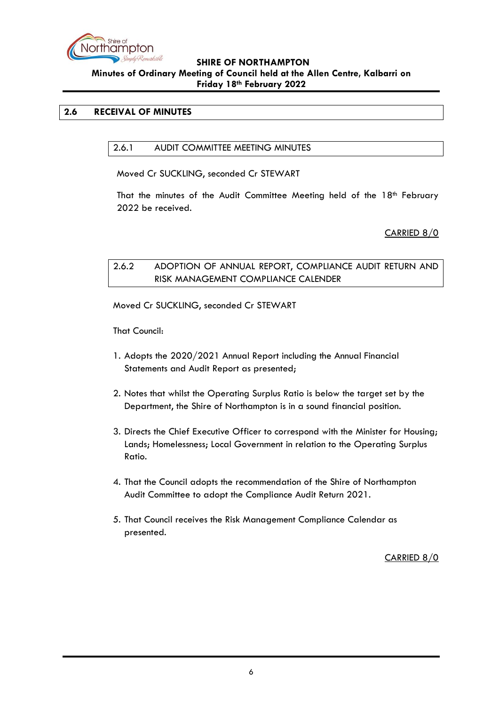

## <span id="page-5-1"></span><span id="page-5-0"></span>**2.6 RECEIVAL OF MINUTES**

#### 2.6.1 AUDIT COMMITTEE MEETING MINUTES

Moved Cr SUCKLING, seconded Cr STEWART

That the minutes of the Audit Committee Meeting held of the  $18<sup>th</sup>$  February 2022 be received.

#### CARRIED 8/0

# <span id="page-5-2"></span>2.6.2 ADOPTION OF ANNUAL REPORT, COMPLIANCE AUDIT RETURN AND RISK MANAGEMENT COMPLIANCE CALENDER

Moved Cr SUCKLING, seconded Cr STEWART

That Council:

- 1. Adopts the 2020/2021 Annual Report including the Annual Financial Statements and Audit Report as presented;
- 2. Notes that whilst the Operating Surplus Ratio is below the target set by the Department, the Shire of Northampton is in a sound financial position.
- 3. Directs the Chief Executive Officer to correspond with the Minister for Housing; Lands; Homelessness; Local Government in relation to the Operating Surplus Ratio.
- 4. That the Council adopts the recommendation of the Shire of Northampton Audit Committee to adopt the Compliance Audit Return 2021.
- 5. That Council receives the Risk Management Compliance Calendar as presented.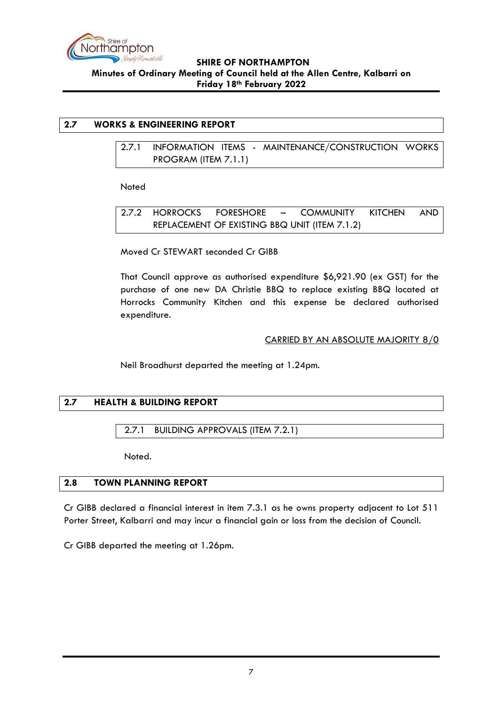

# <span id="page-6-1"></span><span id="page-6-0"></span>**2.7 WORKS & ENGINEERING REPORT**

2.7.1 INFORMATION ITEMS - MAINTENANCE/CONSTRUCTION WORKS PROGRAM (ITEM 7.1.1)

Noted

<span id="page-6-2"></span>2.7.2 HORROCKS FORESHORE – COMMUNITY KITCHEN AND REPLACEMENT OF EXISTING BBQ UNIT (ITEM 7.1.2)

Moved Cr STEWART seconded Cr GIBB

That Council approve as authorised expenditure \$6,921.90 (ex GST) for the purchase of one new DA Christie BBQ to replace existing BBQ located at Horrocks Community Kitchen and this expense be declared authorised expenditure.

#### CARRIED BY AN ABSOLUTE MAJORITY 8/0

Neil Broadhurst departed the meeting at 1.24pm.

#### <span id="page-6-3"></span>**2.7 HEALTH & BUILDING REPORT**

<span id="page-6-4"></span>2.7.1 BUILDING APPROVALS (ITEM 7.2.1)

Noted.

#### <span id="page-6-5"></span>**2.8 TOWN PLANNING REPORT**

Cr GIBB declared a financial interest in item 7.3.1 as he owns property adjacent to Lot 511 Porter Street, Kalbarri and may incur a financial gain or loss from the decision of Council.

Cr GIBB departed the meeting at 1.26pm.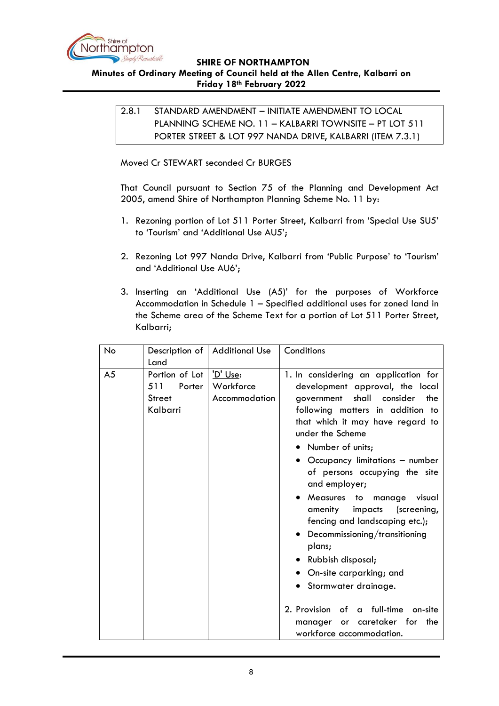

<span id="page-7-0"></span>**Minutes of Ordinary Meeting of Council held at the Allen Centre, Kalbarri on Friday 18th February 2022**

2.8.1 STANDARD AMENDMENT – INITIATE AMENDMENT TO LOCAL PLANNING SCHEME NO. 11 – KALBARRI TOWNSITE – PT LOT 511 PORTER STREET & LOT 997 NANDA DRIVE, KALBARRI (ITEM 7.3.1)

Moved Cr STEWART seconded Cr BURGES

That Council pursuant to Section 75 of the Planning and Development Act 2005, amend Shire of Northampton Planning Scheme No. 11 by:

- 1. Rezoning portion of Lot 511 Porter Street, Kalbarri from 'Special Use SU5' to 'Tourism' and 'Additional Use AU5';
- 2. Rezoning Lot 997 Nanda Drive, Kalbarri from 'Public Purpose' to 'Tourism' and 'Additional Use AU6';
- 3. Inserting an 'Additional Use (A5)' for the purposes of Workforce Accommodation in Schedule 1 – Specified additional uses for zoned land in the Scheme area of the Scheme Text for a portion of Lot 511 Porter Street, Kalbarri;

| No             | Description of                                               | <b>Additional Use</b>                  | Conditions                                                                                                                                                                                                                                                                                                                                                                                                                                                                                                                    |
|----------------|--------------------------------------------------------------|----------------------------------------|-------------------------------------------------------------------------------------------------------------------------------------------------------------------------------------------------------------------------------------------------------------------------------------------------------------------------------------------------------------------------------------------------------------------------------------------------------------------------------------------------------------------------------|
|                | Land                                                         |                                        |                                                                                                                                                                                                                                                                                                                                                                                                                                                                                                                               |
| A <sub>5</sub> | Portion of Lot<br>511<br>Porter<br><b>Street</b><br>Kalbarri | 'D' Use:<br>Workforce<br>Accommodation | 1. In considering an application for<br>development approval, the local<br>shall<br>consider<br>the<br>government<br>following matters in addition to<br>that which it may have regard to<br>under the Scheme<br>• Number of units;<br>Occupancy limitations - number<br>of persons occupying the site<br>and employer;<br>Measures to<br>manage<br>visual<br>amenity impacts<br>(screening,<br>fencing and landscaping etc.);<br>• Decommissioning/transitioning<br>plans;<br>• Rubbish disposal;<br>On-site carparking; and |
|                |                                                              |                                        | Stormwater drainage.                                                                                                                                                                                                                                                                                                                                                                                                                                                                                                          |
|                |                                                              |                                        | 2. Provision of a full-time<br>on-site<br>caretaker for the<br>manager<br>or l<br>workforce accommodation.                                                                                                                                                                                                                                                                                                                                                                                                                    |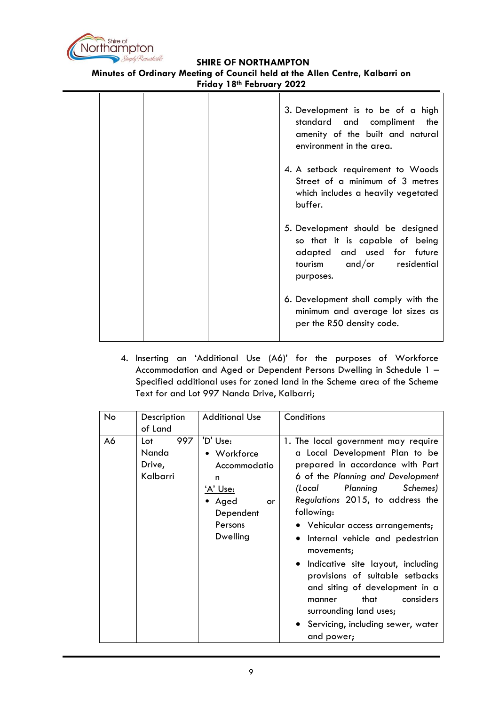

**Minutes of Ordinary Meeting of Council held at the Allen Centre, Kalbarri on**

**Friday 18th February 2022**

|  | 3. Development is to be of a high<br>standard and compliment the<br>amenity of the built and natural<br>environment in the area.              |
|--|-----------------------------------------------------------------------------------------------------------------------------------------------|
|  | 4. A setback requirement to Woods<br>Street of a minimum of 3 metres<br>which includes a heavily vegetated<br>buffer.                         |
|  | 5. Development should be designed<br>so that it is capable of being<br>adapted and used for future<br>tourism and/or residential<br>purposes. |
|  | 6. Development shall comply with the<br>minimum and average lot sizes as<br>per the R50 density code.                                         |

4. Inserting an 'Additional Use (A6)' for the purposes of Workforce Accommodation and Aged or Dependent Persons Dwelling in Schedule 1 – Specified additional uses for zoned land in the Scheme area of the Scheme Text for and Lot 997 Nanda Drive, Kalbarri;

| No | Description<br>of Land                    | <b>Additional Use</b>                                                                                               | Conditions                                                                                                                                                                                                                                                                                                                                                                                                                                                                                                                                          |
|----|-------------------------------------------|---------------------------------------------------------------------------------------------------------------------|-----------------------------------------------------------------------------------------------------------------------------------------------------------------------------------------------------------------------------------------------------------------------------------------------------------------------------------------------------------------------------------------------------------------------------------------------------------------------------------------------------------------------------------------------------|
| A6 | 997<br>Lot<br>Nanda<br>Drive,<br>Kalbarri | 'D' Use:<br>• Workforce<br>Accommodatio<br>n<br><u>'A' Use:</u><br>• Aged<br>or<br>Dependent<br>Persons<br>Dwelling | 1. The local government may require<br>a Local Development Plan to be<br>prepared in accordance with Part<br>6 of the Planning and Development<br>Planning<br>Schemes)<br>(Local<br>Regulations 2015, to address the<br>following:<br>• Vehicular access arrangements;<br>• Internal vehicle and pedestrian<br>movements;<br>• Indicative site layout, including<br>provisions of suitable setbacks<br>and siting of development in a<br>considers<br>that<br>manner<br>surrounding land uses;<br>• Servicing, including sewer, water<br>and power; |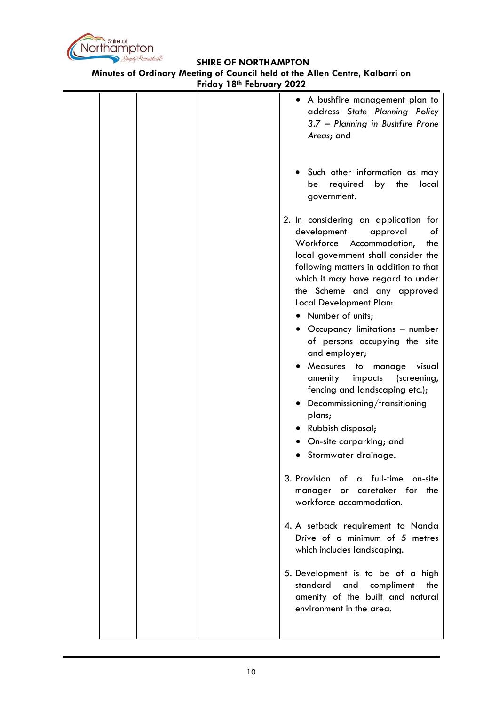

**Minutes of Ordinary Meeting of Council held at the Allen Centre, Kalbarri on Friday 18th February 2022**

|  | • A bushfire management plan to<br>address State Planning Policy<br>3.7 - Planning in Bushfire Prone<br>Areas; and                                                                                                                                                                                                                                                                                                                                                                                                                                                                                                                        |
|--|-------------------------------------------------------------------------------------------------------------------------------------------------------------------------------------------------------------------------------------------------------------------------------------------------------------------------------------------------------------------------------------------------------------------------------------------------------------------------------------------------------------------------------------------------------------------------------------------------------------------------------------------|
|  | Such other information as may<br>by the<br>required<br>local<br>be<br>government.                                                                                                                                                                                                                                                                                                                                                                                                                                                                                                                                                         |
|  | 2. In considering an application for<br>development<br>approval<br>оf<br>Workforce<br>Accommodation,<br>the<br>local government shall consider the<br>following matters in addition to that<br>which it may have regard to under<br>the Scheme and any approved<br>Local Development Plan:<br>• Number of units;<br>• Occupancy limitations - number<br>of persons occupying the site<br>and employer;<br>• Measures to<br>visual<br>manage<br>amenity<br>impacts<br>(screening,<br>fencing and landscaping etc.);<br>• Decommissioning/transitioning<br>plans;<br>• Rubbish disposal;<br>On-site carparking; and<br>Stormwater drainage. |
|  | 3. Provision of a full-time<br>on-site<br>caretaker for the<br>manager<br>or<br>workforce accommodation.                                                                                                                                                                                                                                                                                                                                                                                                                                                                                                                                  |
|  | 4. A setback requirement to Nanda<br>Drive of a minimum of 5 metres<br>which includes landscaping.                                                                                                                                                                                                                                                                                                                                                                                                                                                                                                                                        |
|  | 5. Development is to be of a high<br>standard<br>and<br>compliment<br>the<br>amenity of the built and natural<br>environment in the area.                                                                                                                                                                                                                                                                                                                                                                                                                                                                                                 |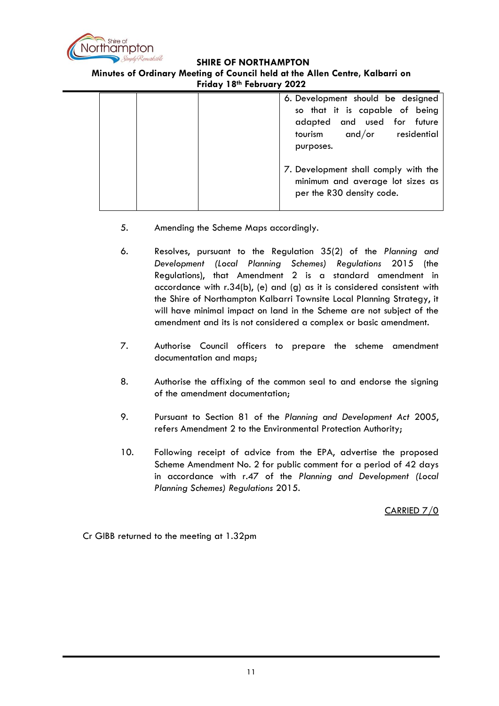

# **Minutes of Ordinary Meeting of Council held at the Allen Centre, Kalbarri on**

**Friday 18th February 2022**

|  | 6. Development should be designed<br>so that it is capable of being<br>adapted and used for future<br>and/or residential<br>tourism<br>purposes. |
|--|--------------------------------------------------------------------------------------------------------------------------------------------------|
|  | 7. Development shall comply with the<br>minimum and average lot sizes as<br>per the R30 density code.                                            |

- 5. Amending the Scheme Maps accordingly.
- 6. Resolves, pursuant to the Regulation 35(2) of the *Planning and Development (Local Planning Schemes) Regulations* 2015 (the Regulations), that Amendment 2 is a standard amendment in accordance with r.34(b), (e) and (g) as it is considered consistent with the Shire of Northampton Kalbarri Townsite Local Planning Strategy, it will have minimal impact on land in the Scheme are not subject of the amendment and its is not considered a complex or basic amendment.
- 7. Authorise Council officers to prepare the scheme amendment documentation and maps;
- 8. Authorise the affixing of the common seal to and endorse the signing of the amendment documentation;
- 9. Pursuant to Section 81 of the *Planning and Development Act* 2005, refers Amendment 2 to the Environmental Protection Authority;
- 10. Following receipt of advice from the EPA, advertise the proposed Scheme Amendment No. 2 for public comment for a period of 42 days in accordance with r.47 of the *Planning and Development (Local Planning Schemes) Regulations* 2015.

CARRIED 7/0

Cr GIBB returned to the meeting at 1.32pm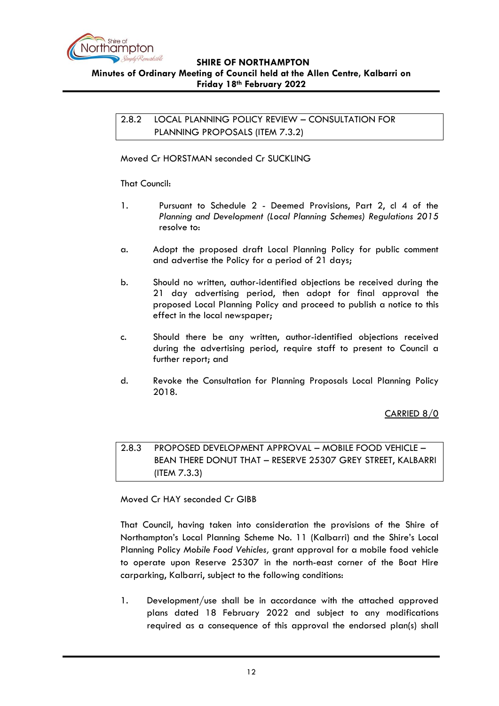

<span id="page-11-0"></span>2.8.2 LOCAL PLANNING POLICY REVIEW – CONSULTATION FOR PLANNING PROPOSALS (ITEM 7.3.2)

Moved Cr HORSTMAN seconded Cr SUCKLING

That Council:

- 1. Pursuant to Schedule 2 Deemed Provisions, Part 2, cl 4 of the *Planning and Development (Local Planning Schemes) Regulations 2015*  resolve to:
- a. Adopt the proposed draft Local Planning Policy for public comment and advertise the Policy for a period of 21 days;
- b. Should no written, author-identified objections be received during the 21 day advertising period, then adopt for final approval the proposed Local Planning Policy and proceed to publish a notice to this effect in the local newspaper;
- c. Should there be any written, author-identified objections received during the advertising period, require staff to present to Council a further report; and
- d. Revoke the Consultation for Planning Proposals Local Planning Policy 2018.

#### CARRIED 8/0

<span id="page-11-1"></span>2.8.3 PROPOSED DEVELOPMENT APPROVAL – MOBILE FOOD VEHICLE – BEAN THERE DONUT THAT – RESERVE 25307 GREY STREET, KALBARRI (ITEM 7.3.3)

Moved Cr HAY seconded Cr GIBB

That Council, having taken into consideration the provisions of the Shire of Northampton's Local Planning Scheme No. 11 (Kalbarri) and the Shire's Local Planning Policy *Mobile Food Vehicles,* grant approval for a mobile food vehicle to operate upon Reserve 25307 in the north-east corner of the Boat Hire carparking, Kalbarri, subject to the following conditions:

1. Development/use shall be in accordance with the attached approved plans dated 18 February 2022 and subject to any modifications required as a consequence of this approval the endorsed plan(s) shall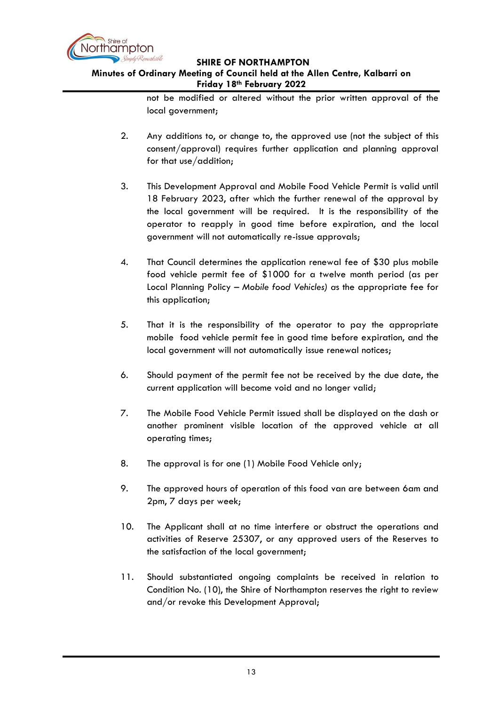

# **Minutes of Ordinary Meeting of Council held at the Allen Centre, Kalbarri on Friday 18th February 2022**

not be modified or altered without the prior written approval of the local government;

- 2. Any additions to, or change to, the approved use (not the subject of this consent/approval) requires further application and planning approval for that use/addition;
- 3. This Development Approval and Mobile Food Vehicle Permit is valid until 18 February 2023, after which the further renewal of the approval by the local government will be required. It is the responsibility of the operator to reapply in good time before expiration, and the local government will not automatically re-issue approvals;
- 4. That Council determines the application renewal fee of \$30 plus mobile food vehicle permit fee of \$1000 for a twelve month period (as per Local Planning Policy – *Mobile food Vehicles) a*s the appropriate fee for this application;
- 5. That it is the responsibility of the operator to pay the appropriate mobile food vehicle permit fee in good time before expiration, and the local government will not automatically issue renewal notices;
- 6. Should payment of the permit fee not be received by the due date, the current application will become void and no longer valid;
- 7. The Mobile Food Vehicle Permit issued shall be displayed on the dash or another prominent visible location of the approved vehicle at all operating times;
- 8. The approval is for one (1) Mobile Food Vehicle only;
- 9. The approved hours of operation of this food van are between 6am and 2pm, 7 days per week;
- 10. The Applicant shall at no time interfere or obstruct the operations and activities of Reserve 25307, or any approved users of the Reserves to the satisfaction of the local government;
- 11. Should substantiated ongoing complaints be received in relation to Condition No. (10), the Shire of Northampton reserves the right to review and/or revoke this Development Approval;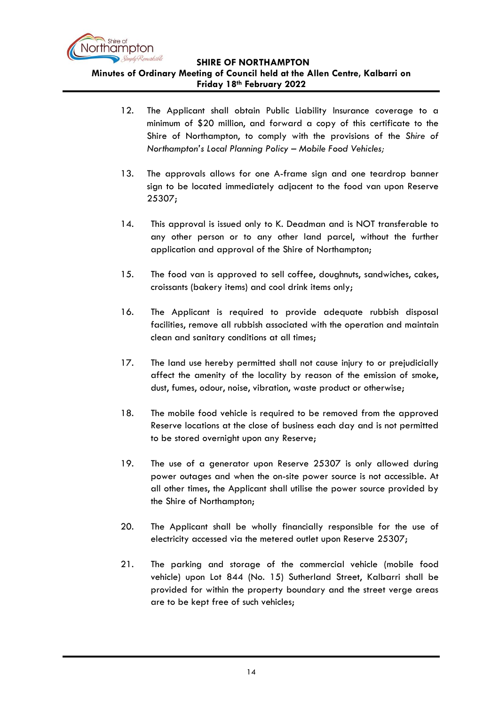

- 12. The Applicant shall obtain Public Liability Insurance coverage to a minimum of \$20 million, and forward a copy of this certificate to the Shire of Northampton, to comply with the provisions of the *Shire of Northampton's Local Planning Policy – Mobile Food Vehicles;*
- 13. The approvals allows for one A-frame sign and one teardrop banner sign to be located immediately adjacent to the food van upon Reserve 25307;
- 14. This approval is issued only to K. Deadman and is NOT transferable to any other person or to any other land parcel, without the further application and approval of the Shire of Northampton;
- 15. The food van is approved to sell coffee, doughnuts, sandwiches, cakes, croissants (bakery items) and cool drink items only;
- 16. The Applicant is required to provide adequate rubbish disposal facilities, remove all rubbish associated with the operation and maintain clean and sanitary conditions at all times;
- 17. The land use hereby permitted shall not cause injury to or prejudicially affect the amenity of the locality by reason of the emission of smoke, dust, fumes, odour, noise, vibration, waste product or otherwise;
- 18. The mobile food vehicle is required to be removed from the approved Reserve locations at the close of business each day and is not permitted to be stored overnight upon any Reserve;
- 19. The use of a generator upon Reserve 25307 is only allowed during power outages and when the on-site power source is not accessible. At all other times, the Applicant shall utilise the power source provided by the Shire of Northampton;
- 20. The Applicant shall be wholly financially responsible for the use of electricity accessed via the metered outlet upon Reserve 25307;
- 21. The parking and storage of the commercial vehicle (mobile food vehicle) upon Lot 844 (No. 15) Sutherland Street, Kalbarri shall be provided for within the property boundary and the street verge areas are to be kept free of such vehicles;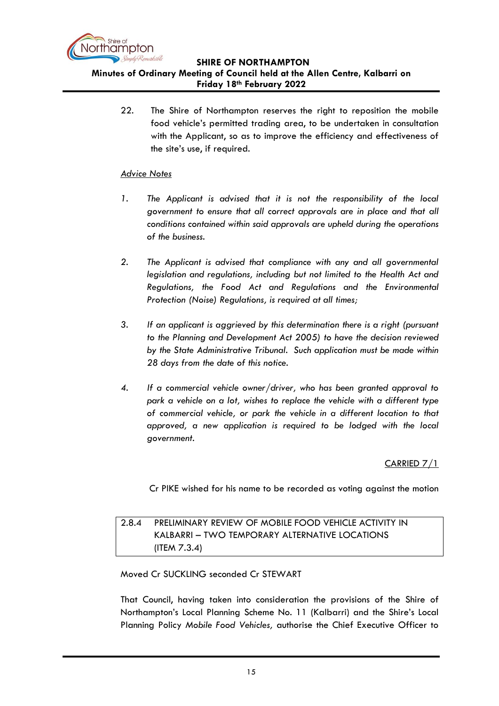

22. The Shire of Northampton reserves the right to reposition the mobile food vehicle's permitted trading area, to be undertaken in consultation with the Applicant, so as to improve the efficiency and effectiveness of the site's use, if required.

#### *Advice Notes*

- *1. The Applicant is advised that it is not the responsibility of the local government to ensure that all correct approvals are in place and that all conditions contained within said approvals are upheld during the operations of the business.*
- *2. The Applicant is advised that compliance with any and all governmental legislation and regulations, including but not limited to the Health Act and Regulations, the Food Act and Regulations and the Environmental Protection (Noise) Regulations, is required at all times;*
- *3. If an applicant is aggrieved by this determination there is a right (pursuant to the Planning and Development Act 2005) to have the decision reviewed by the State Administrative Tribunal. Such application must be made within 28 days from the date of this notice.*
- *4. If a commercial vehicle owner/driver, who has been granted approval to park a vehicle on a lot, wishes to replace the vehicle with a different type of commercial vehicle, or park the vehicle in a different location to that approved, a new application is required to be lodged with the local government.*

#### CARRIED 7/1

Cr PIKE wished for his name to be recorded as voting against the motion

# <span id="page-14-0"></span>2.8.4 PRELIMINARY REVIEW OF MOBILE FOOD VEHICLE ACTIVITY IN KALBARRI – TWO TEMPORARY ALTERNATIVE LOCATIONS (ITEM 7.3.4)

#### Moved Cr SUCKLING seconded Cr STEWART

That Council, having taken into consideration the provisions of the Shire of Northampton's Local Planning Scheme No. 11 (Kalbarri) and the Shire's Local Planning Policy *Mobile Food Vehicles,* authorise the Chief Executive Officer to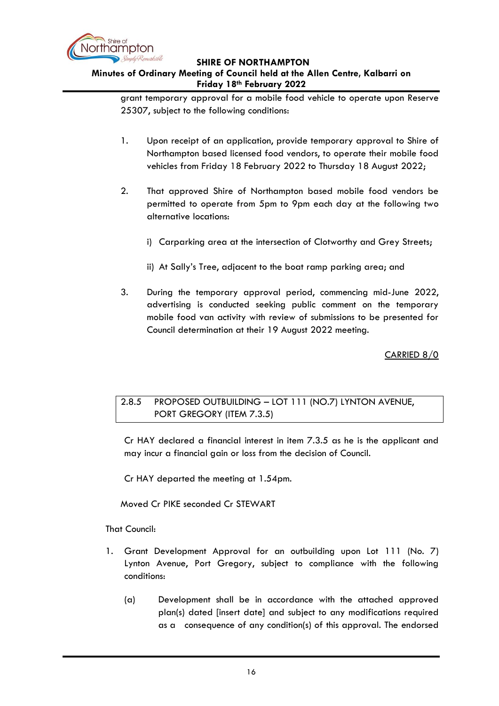

# **Minutes of Ordinary Meeting of Council held at the Allen Centre, Kalbarri on Friday 18th February 2022**

grant temporary approval for a mobile food vehicle to operate upon Reserve 25307, subject to the following conditions:

- 1. Upon receipt of an application, provide temporary approval to Shire of Northampton based licensed food vendors, to operate their mobile food vehicles from Friday 18 February 2022 to Thursday 18 August 2022;
- 2. That approved Shire of Northampton based mobile food vendors be permitted to operate from 5pm to 9pm each day at the following two alternative locations:
	- i) Carparking area at the intersection of Clotworthy and Grey Streets;
	- ii) At Sally's Tree, adjacent to the boat ramp parking area; and
- 3. During the temporary approval period, commencing mid-June 2022, advertising is conducted seeking public comment on the temporary mobile food van activity with review of submissions to be presented for Council determination at their 19 August 2022 meeting.

CARRIED 8/0

# <span id="page-15-0"></span>2.8.5 PROPOSED OUTBUILDING – LOT 111 (NO.7) LYNTON AVENUE, PORT GREGORY (ITEM 7.3.5)

Cr HAY declared a financial interest in item 7.3.5 as he is the applicant and may incur a financial gain or loss from the decision of Council.

Cr HAY departed the meeting at 1.54pm.

Moved Cr PIKE seconded Cr STEWART

That Council:

- 1. Grant Development Approval for an outbuilding upon Lot 111 (No. 7) Lynton Avenue, Port Gregory, subject to compliance with the following conditions:
	- (a) Development shall be in accordance with the attached approved plan(s) dated [insert date] and subject to any modifications required as a consequence of any condition(s) of this approval. The endorsed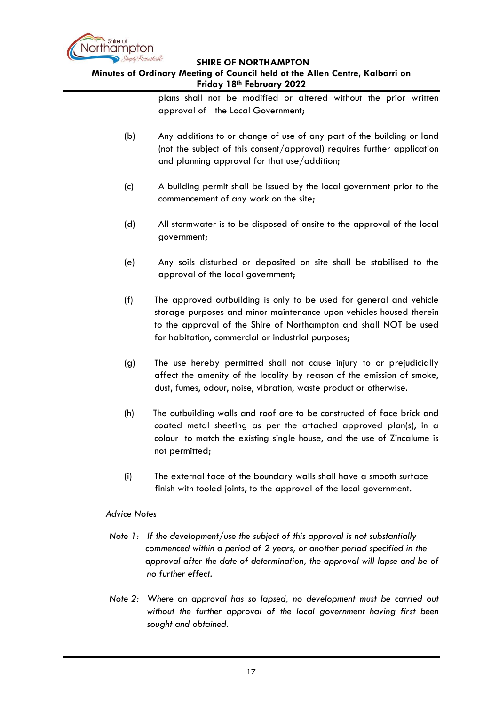

#### **Minutes of Ordinary Meeting of Council held at the Allen Centre, Kalbarri on Friday 18th February 2022**

plans shall not be modified or altered without the prior written approval of the Local Government;

- (b) Any additions to or change of use of any part of the building or land (not the subject of this consent/approval) requires further application and planning approval for that use/addition;
- (c) A building permit shall be issued by the local government prior to the commencement of any work on the site;
- (d) All stormwater is to be disposed of onsite to the approval of the local government;
- (e) Any soils disturbed or deposited on site shall be stabilised to the approval of the local government;
- (f) The approved outbuilding is only to be used for general and vehicle storage purposes and minor maintenance upon vehicles housed therein to the approval of the Shire of Northampton and shall NOT be used for habitation, commercial or industrial purposes;
- (g) The use hereby permitted shall not cause injury to or prejudicially affect the amenity of the locality by reason of the emission of smoke, dust, fumes, odour, noise, vibration, waste product or otherwise.
- (h) The outbuilding walls and roof are to be constructed of face brick and coated metal sheeting as per the attached approved plan(s), in a colour to match the existing single house, and the use of Zincalume is not permitted;
- (i) The external face of the boundary walls shall have a smooth surface finish with tooled joints, to the approval of the local government.

#### *Advice Notes*

- *Note 1: If the development/use the subject of this approval is not substantially commenced within a period of 2 years, or another period specified in the approval after the date of determination, the approval will lapse and be of no further effect.*
- *Note 2: Where an approval has so lapsed, no development must be carried out without the further approval of the local government having first been sought and obtained.*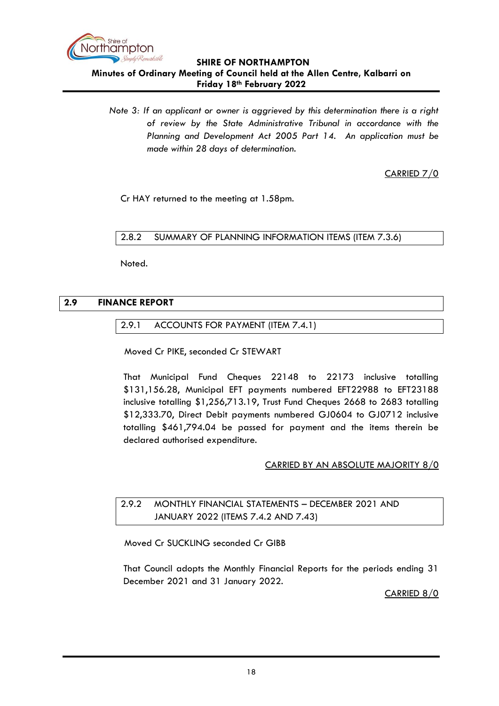

**Friday 18th February 2022** *Note 3: If an applicant or owner is aggrieved by this determination there is a right* 

*of review by the State Administrative Tribunal in accordance with the Planning and Development Act 2005 Part 14. An application must be made within 28 days of determination.*

CARRIED 7/0

Cr HAY returned to the meeting at 1.58pm.

<span id="page-17-0"></span>2.8.2 SUMMARY OF PLANNING INFORMATION ITEMS (ITEM 7.3.6)

Noted.

# <span id="page-17-2"></span><span id="page-17-1"></span>**2.9 FINANCE REPORT**

#### 2.9.1 ACCOUNTS FOR PAYMENT (ITEM 7.4.1)

Moved Cr PIKE, seconded Cr STEWART

That Municipal Fund Cheques 22148 to 22173 inclusive totalling \$131,156.28, Municipal EFT payments numbered EFT22988 to EFT23188 inclusive totalling \$1,256,713.19, Trust Fund Cheques 2668 to 2683 totalling \$12,333.70, Direct Debit payments numbered GJ0604 to GJ0712 inclusive totalling \$461,794.04 be passed for payment and the items therein be declared authorised expenditure.

#### CARRIED BY AN ABSOLUTE MAJORITY 8/0

# <span id="page-17-3"></span>2.9.2 MONTHLY FINANCIAL STATEMENTS – DECEMBER 2021 AND JANUARY 2022 (ITEMS 7.4.2 AND 7.43)

Moved Cr SUCKLING seconded Cr GIBB

That Council adopts the Monthly Financial Reports for the periods ending 31 December 2021 and 31 January 2022.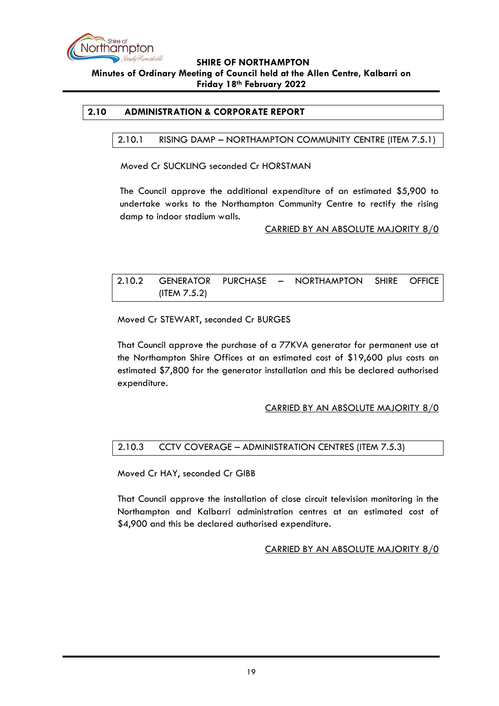

#### <span id="page-18-1"></span><span id="page-18-0"></span>**2.10 ADMINISTRATION & CORPORATE REPORT**

#### 2.10.1 RISING DAMP – NORTHAMPTON COMMUNITY CENTRE (ITEM 7.5.1)

Moved Cr SUCKLING seconded Cr HORSTMAN

The Council approve the additional expenditure of an estimated \$5,900 to undertake works to the Northampton Community Centre to rectify the rising damp to indoor stadium walls.

CARRIED BY AN ABSOLUTE MAJORITY 8/0

<span id="page-18-2"></span>

|                 |  | 2.10.2 GENERATOR PURCHASE - NORTHAMPTON SHIRE OFFICE |  |
|-----------------|--|------------------------------------------------------|--|
| (ITEM $7.5.2$ ) |  |                                                      |  |

Moved Cr STEWART, seconded Cr BURGES

That Council approve the purchase of a 77KVA generator for permanent use at the Northampton Shire Offices at an estimated cost of \$19,600 plus costs an estimated \$7,800 for the generator installation and this be declared authorised expenditure.

#### CARRIED BY AN ABSOLUTE MAJORITY 8/0

## <span id="page-18-3"></span>2.10.3 CCTV COVERAGE – ADMINISTRATION CENTRES (ITEM 7.5.3)

Moved Cr HAY, seconded Cr GIBB

That Council approve the installation of close circuit television monitoring in the Northampton and Kalbarri administration centres at an estimated cost of \$4,900 and this be declared authorised expenditure.

#### CARRIED BY AN ABSOLUTE MAJORITY 8/0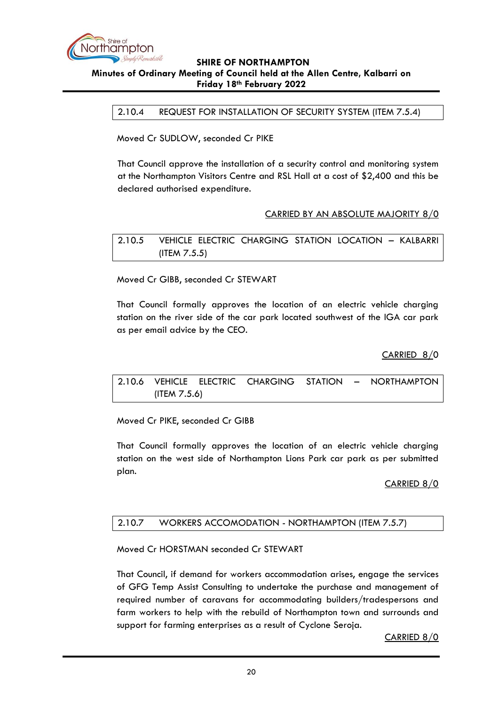

<span id="page-19-0"></span>2.10.4 REQUEST FOR INSTALLATION OF SECURITY SYSTEM (ITEM 7.5.4)

Moved Cr SUDLOW, seconded Cr PIKE

That Council approve the installation of a security control and monitoring system at the Northampton Visitors Centre and RSL Hall at a cost of \$2,400 and this be declared authorised expenditure.

#### CARRIED BY AN ABSOLUTE MAJORITY 8/0

<span id="page-19-1"></span>2.10.5 VEHICLE ELECTRIC CHARGING STATION LOCATION – KALBARRI (ITEM 7.5.5)

Moved Cr GIBB, seconded Cr STEWART

That Council formally approves the location of an electric vehicle charging station on the river side of the car park located southwest of the IGA car park as per email advice by the CEO.

CARRIED 8/0

<span id="page-19-2"></span>2.10.6 VEHICLE ELECTRIC CHARGING STATION – NORTHAMPTON (ITEM 7.5.6)

Moved Cr PIKE, seconded Cr GIBB

That Council formally approves the location of an electric vehicle charging station on the west side of Northampton Lions Park car park as per submitted plan.

#### CARRIED 8/0

#### <span id="page-19-3"></span>2.10.7 WORKERS ACCOMODATION - NORTHAMPTON (ITEM 7.5.7)

Moved Cr HORSTMAN seconded Cr STEWART

That Council, if demand for workers accommodation arises, engage the services of GFG Temp Assist Consulting to undertake the purchase and management of required number of caravans for accommodating builders/tradespersons and farm workers to help with the rebuild of Northampton town and surrounds and support for farming enterprises as a result of Cyclone Seroja.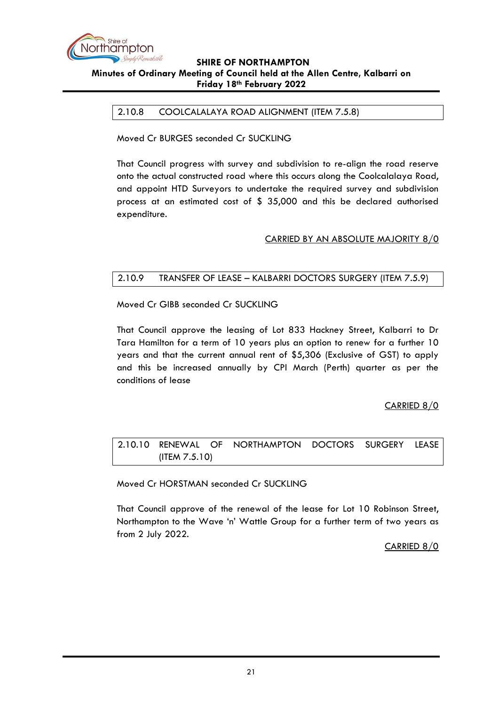

#### <span id="page-20-0"></span>2.10.8 COOLCALALAYA ROAD ALIGNMENT (ITEM 7.5.8)

Moved Cr BURGES seconded Cr SUCKLING

That Council progress with survey and subdivision to re-align the road reserve onto the actual constructed road where this occurs along the Coolcalalaya Road, and appoint HTD Surveyors to undertake the required survey and subdivision process at an estimated cost of \$ 35,000 and this be declared authorised expenditure.

#### CARRIED BY AN ABSOLUTE MAJORITY 8/0

#### <span id="page-20-1"></span>2.10.9 TRANSFER OF LEASE – KALBARRI DOCTORS SURGERY (ITEM 7.5.9)

Moved Cr GIBB seconded Cr SUCKLING

That Council approve the leasing of Lot 833 Hackney Street, Kalbarri to Dr Tara Hamilton for a term of 10 years plus an option to renew for a further 10 years and that the current annual rent of \$5,306 (Exclusive of GST) to apply and this be increased annually by CPI March (Perth) quarter as per the conditions of lease

#### CARRIED 8/0

# <span id="page-20-2"></span>2.10.10 RENEWAL OF NORTHAMPTON DOCTORS SURGERY LEASE (ITEM 7.5.10)

Moved Cr HORSTMAN seconded Cr SUCKLING

That Council approve of the renewal of the lease for Lot 10 Robinson Street, Northampton to the Wave 'n' Wattle Group for a further term of two years as from 2 July 2022.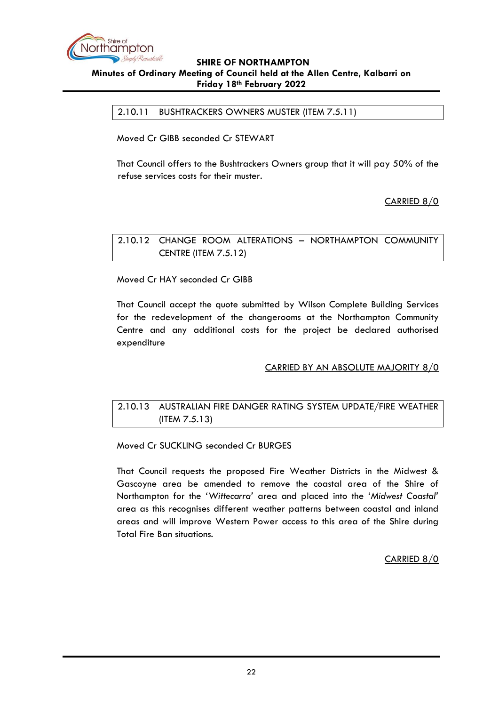

<span id="page-21-0"></span>2.10.11 BUSHTRACKERS OWNERS MUSTER (ITEM 7.5.11)

Moved Cr GIBB seconded Cr STEWART

That Council offers to the Bushtrackers Owners group that it will pay 50% of the refuse services costs for their muster.

CARRIED 8/0

<span id="page-21-1"></span>2.10.12 CHANGE ROOM ALTERATIONS – NORTHAMPTON COMMUNITY CENTRE (ITEM 7.5.12)

Moved Cr HAY seconded Cr GIBB

That Council accept the quote submitted by Wilson Complete Building Services for the redevelopment of the changerooms at the Northampton Community Centre and any additional costs for the project be declared authorised expenditure

#### CARRIED BY AN ABSOLUTE MAJORITY 8/0

# <span id="page-21-2"></span>2.10.13 AUSTRALIAN FIRE DANGER RATING SYSTEM UPDATE/FIRE WEATHER (ITEM 7.5.13)

Moved Cr SUCKLING seconded Cr BURGES

That Council requests the proposed Fire Weather Districts in the Midwest & Gascoyne area be amended to remove the coastal area of the Shire of Northampton for the *'Wittecarra'* area and placed into the *'Midwest Coastal'* area as this recognises different weather patterns between coastal and inland areas and will improve Western Power access to this area of the Shire during Total Fire Ban situations.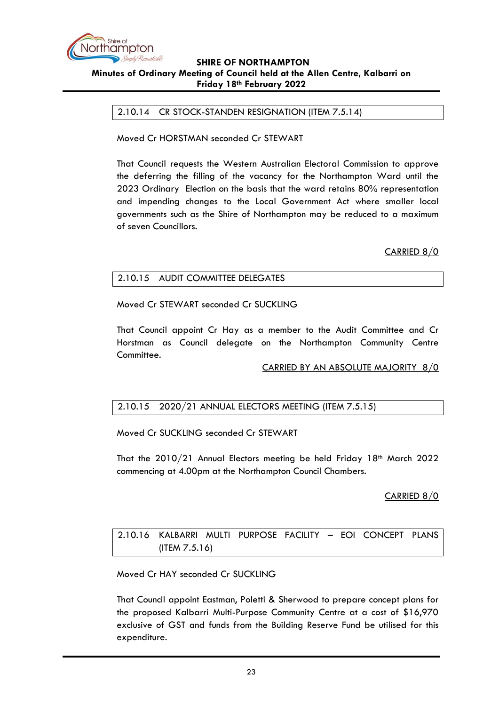

#### <span id="page-22-0"></span>2.10.14 CR STOCK-STANDEN RESIGNATION (ITEM 7.5.14)

Moved Cr HORSTMAN seconded Cr STEWART

That Council requests the Western Australian Electoral Commission to approve the deferring the filling of the vacancy for the Northampton Ward until the 2023 Ordinary Election on the basis that the ward retains 80% representation and impending changes to the Local Government Act where smaller local governments such as the Shire of Northampton may be reduced to a maximum of seven Councillors.

CARRIED 8/0

#### <span id="page-22-1"></span>2.10.15 AUDIT COMMITTEE DELEGATES

Moved Cr STEWART seconded Cr SUCKLING

That Council appoint Cr Hay as a member to the Audit Committee and Cr Horstman as Council delegate on the Northampton Community Centre Committee.

CARRIED BY AN ABSOLUTE MAJORITY 8/0

#### <span id="page-22-2"></span>2.10.15 2020/21 ANNUAL ELECTORS MEETING (ITEM 7.5.15)

Moved Cr SUCKLING seconded Cr STEWART

That the  $2010/21$  Annual Electors meeting be held Friday 18<sup>th</sup> March 2022 commencing at 4.00pm at the Northampton Council Chambers.

CARRIED 8/0

<span id="page-22-3"></span>2.10.16 KALBARRI MULTI PURPOSE FACILITY – EOI CONCEPT PLANS (ITEM 7.5.16)

Moved Cr HAY seconded Cr SUCKLING

That Council appoint Eastman, Poletti & Sherwood to prepare concept plans for the proposed Kalbarri Multi-Purpose Community Centre at a cost of \$16,970 exclusive of GST and funds from the Building Reserve Fund be utilised for this expenditure.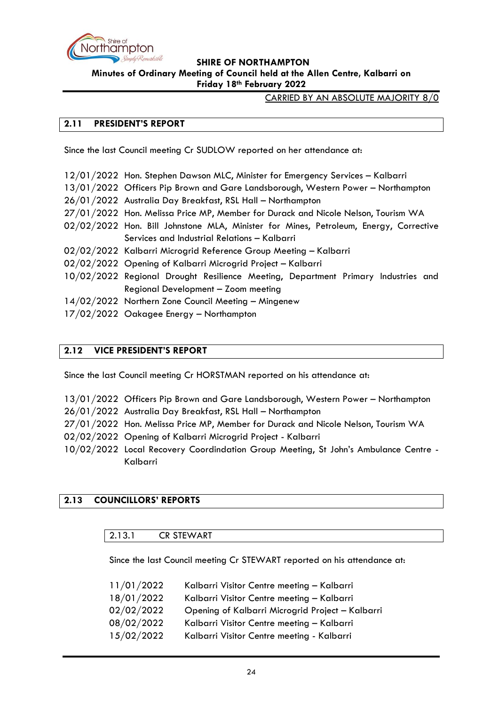

CARRIED BY AN ABSOLUTE MAJORITY 8/0

#### <span id="page-23-0"></span>**2.11 PRESIDENT'S REPORT**

Since the last Council meeting Cr SUDLOW reported on her attendance at:

- 12/01/2022 Hon. Stephen Dawson MLC, Minister for Emergency Services Kalbarri
- 13/01/2022 Officers Pip Brown and Gare Landsborough, Western Power Northampton
- 26/01/2022 Australia Day Breakfast, RSL Hall Northampton
- 27/01/2022 Hon. Melissa Price MP, Member for Durack and Nicole Nelson, Tourism WA
- 02/02/2022 Hon. Bill Johnstone MLA, Minister for Mines, Petroleum, Energy, Corrective Services and Industrial Relations – Kalbarri
- 02/02/2022 Kalbarri Microgrid Reference Group Meeting Kalbarri
- 02/02/2022 Opening of Kalbarri Microgrid Project Kalbarri
- 10/02/2022 Regional Drought Resilience Meeting, Department Primary Industries and Regional Development – Zoom meeting
- 14/02/2022 Northern Zone Council Meeting Mingenew
- 17/02/2022 Oakagee Energy Northampton

## <span id="page-23-1"></span>**2.12 VICE PRESIDENT'S REPORT**

Since the last Council meeting Cr HORSTMAN reported on his attendance at:

- 13/01/2022 Officers Pip Brown and Gare Landsborough, Western Power Northampton
- 26/01/2022 Australia Day Breakfast, RSL Hall Northampton
- 27/01/2022 Hon. Melissa Price MP, Member for Durack and Nicole Nelson, Tourism WA
- 02/02/2022 Opening of Kalbarri Microgrid Project Kalbarri
- 10/02/2022 Local Recovery Coordindation Group Meeting, St John's Ambulance Centre Kalbarri

#### <span id="page-23-3"></span><span id="page-23-2"></span>**2.13 COUNCILLORS' REPORTS**

#### 2.13.1 CR STEWART

Since the last Council meeting Cr STEWART reported on his attendance at:

| 11/01/2022 | Kalbarri Visitor Centre meeting - Kalbarri       |
|------------|--------------------------------------------------|
| 18/01/2022 | Kalbarri Visitor Centre meeting - Kalbarri       |
| 02/02/2022 | Opening of Kalbarri Microgrid Project - Kalbarri |
| 08/02/2022 | Kalbarri Visitor Centre meeting - Kalbarri       |
| 15/02/2022 | Kalbarri Visitor Centre meeting - Kalbarri       |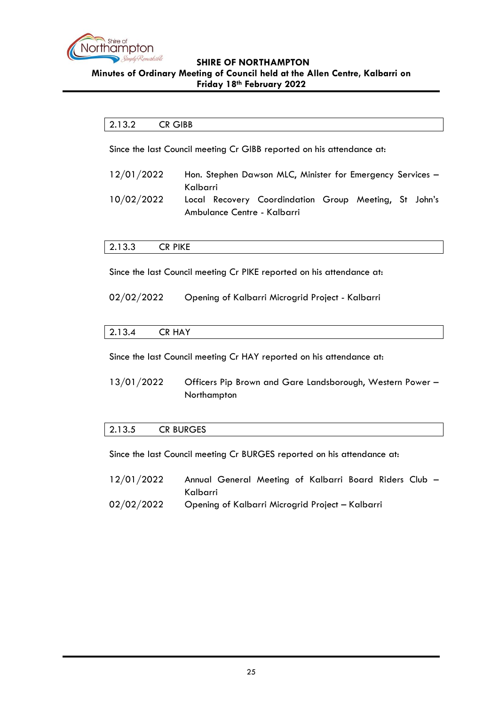

#### <span id="page-24-0"></span>2.13.2 CR GIBB

Since the last Council meeting Cr GIBB reported on his attendance at:

- 12/01/2022 Hon. Stephen Dawson MLC, Minister for Emergency Services -Kalbarri
- 10/02/2022 Local Recovery Coordindation Group Meeting, St John's Ambulance Centre - Kalbarri

#### <span id="page-24-1"></span>2.13.3 CR PIKE

Since the last Council meeting Cr PIKE reported on his attendance at:

02/02/2022 Opening of Kalbarri Microgrid Project - Kalbarri

<span id="page-24-2"></span>

| $\sim$<br>$\sim$<br>2.13.4 | .<br>A<br>◡⋀<br>~~~~~ |  |  |  |  |  |
|----------------------------|-----------------------|--|--|--|--|--|
|----------------------------|-----------------------|--|--|--|--|--|

Since the last Council meeting Cr HAY reported on his attendance at:

13/01/2022 Officers Pip Brown and Gare Landsborough, Western Power – Northampton

#### <span id="page-24-3"></span>2.13.5 CR BURGES

Since the last Council meeting Cr BURGES reported on his attendance at:

- 12/01/2022 Annual General Meeting of Kalbarri Board Riders Club Kalbarri
- 02/02/2022 Opening of Kalbarri Microgrid Project Kalbarri